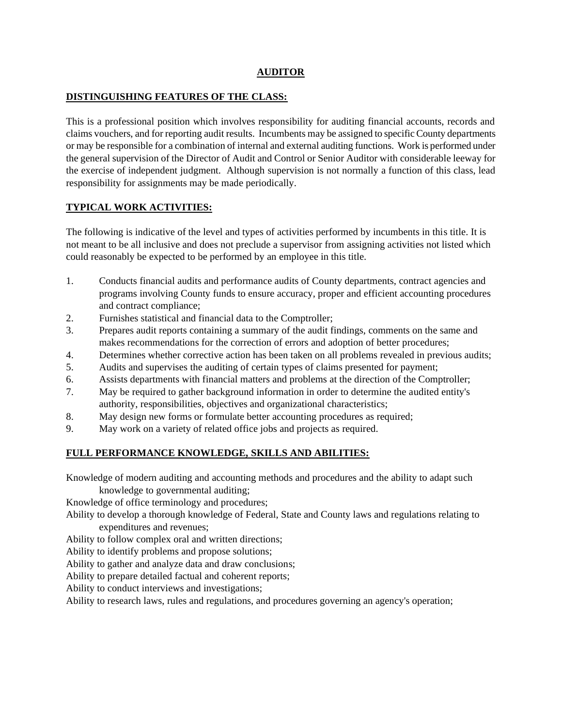#### **AUDITOR**

#### **DISTINGUISHING FEATURES OF THE CLASS:**

This is a professional position which involves responsibility for auditing financial accounts, records and claims vouchers, and for reporting audit results. Incumbents may be assigned to specific County departments or may be responsible for a combination of internal and external auditing functions. Work is performed under the general supervision of the Director of Audit and Control or Senior Auditor with considerable leeway for the exercise of independent judgment. Although supervision is not normally a function of this class, lead responsibility for assignments may be made periodically.

## **TYPICAL WORK ACTIVITIES:**

The following is indicative of the level and types of activities performed by incumbents in this title. It is not meant to be all inclusive and does not preclude a supervisor from assigning activities not listed which could reasonably be expected to be performed by an employee in this title.

- 1. Conducts financial audits and performance audits of County departments, contract agencies and programs involving County funds to ensure accuracy, proper and efficient accounting procedures and contract compliance;
- 2. Furnishes statistical and financial data to the Comptroller;
- 3. Prepares audit reports containing a summary of the audit findings, comments on the same and makes recommendations for the correction of errors and adoption of better procedures;
- 4. Determines whether corrective action has been taken on all problems revealed in previous audits;
- 5. Audits and supervises the auditing of certain types of claims presented for payment;
- 6. Assists departments with financial matters and problems at the direction of the Comptroller;
- 7. May be required to gather background information in order to determine the audited entity's authority, responsibilities, objectives and organizational characteristics;
- 8. May design new forms or formulate better accounting procedures as required;
- 9. May work on a variety of related office jobs and projects as required.

## **FULL PERFORMANCE KNOWLEDGE, SKILLS AND ABILITIES:**

Knowledge of modern auditing and accounting methods and procedures and the ability to adapt such

knowledge to governmental auditing;

Knowledge of office terminology and procedures;

Ability to develop a thorough knowledge of Federal, State and County laws and regulations relating to expenditures and revenues;

Ability to follow complex oral and written directions;

Ability to identify problems and propose solutions;

Ability to gather and analyze data and draw conclusions;

Ability to prepare detailed factual and coherent reports;

Ability to conduct interviews and investigations;

Ability to research laws, rules and regulations, and procedures governing an agency's operation;